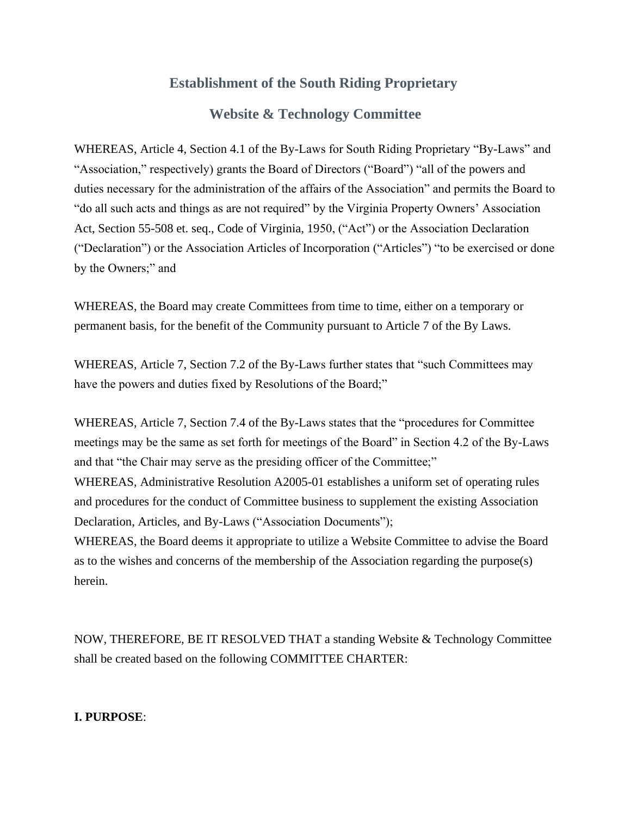## **Establishment of the South Riding Proprietary**

# **Website & Technology Committee**

WHEREAS, Article 4, Section 4.1 of the By-Laws for South Riding Proprietary "By-Laws" and "Association," respectively) grants the Board of Directors ("Board") "all of the powers and duties necessary for the administration of the affairs of the Association" and permits the Board to "do all such acts and things as are not required" by the Virginia Property Owners' Association Act, Section 55-508 et. seq., Code of Virginia, 1950, ("Act") or the Association Declaration ("Declaration") or the Association Articles of Incorporation ("Articles") "to be exercised or done by the Owners;" and

WHEREAS, the Board may create Committees from time to time, either on a temporary or permanent basis, for the benefit of the Community pursuant to Article 7 of the By Laws.

WHEREAS, Article 7, Section 7.2 of the By-Laws further states that "such Committees may have the powers and duties fixed by Resolutions of the Board;"

WHEREAS, Article 7, Section 7.4 of the By-Laws states that the "procedures for Committee meetings may be the same as set forth for meetings of the Board" in Section 4.2 of the By-Laws and that "the Chair may serve as the presiding officer of the Committee;"

WHEREAS, Administrative Resolution A2005-01 establishes a uniform set of operating rules and procedures for the conduct of Committee business to supplement the existing Association Declaration, Articles, and By-Laws ("Association Documents");

WHEREAS, the Board deems it appropriate to utilize a Website Committee to advise the Board as to the wishes and concerns of the membership of the Association regarding the purpose(s) herein.

NOW, THEREFORE, BE IT RESOLVED THAT a standing Website & Technology Committee shall be created based on the following COMMITTEE CHARTER:

## **I. PURPOSE**: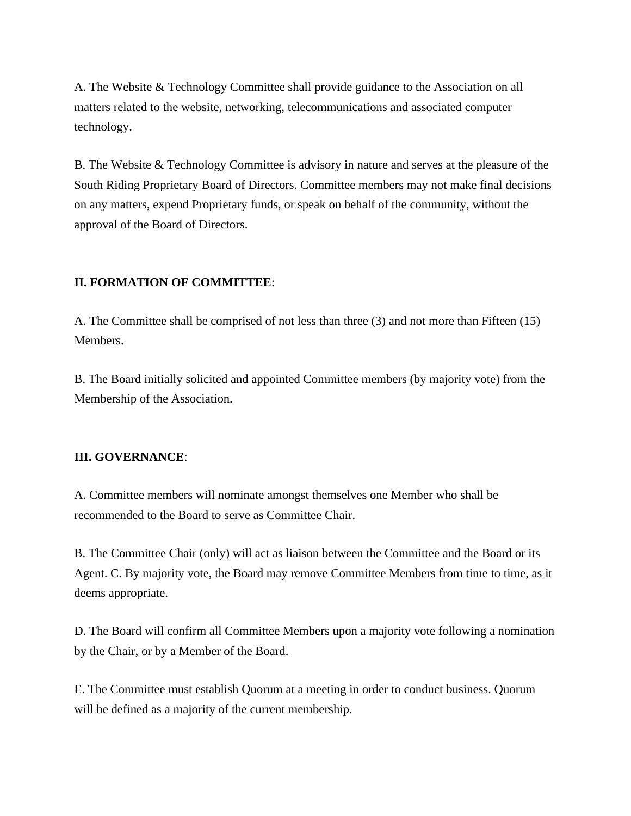A. The Website & Technology Committee shall provide guidance to the Association on all matters related to the website, networking, telecommunications and associated computer technology.

B. The Website & Technology Committee is advisory in nature and serves at the pleasure of the South Riding Proprietary Board of Directors. Committee members may not make final decisions on any matters, expend Proprietary funds, or speak on behalf of the community, without the approval of the Board of Directors.

### **II. FORMATION OF COMMITTEE**:

A. The Committee shall be comprised of not less than three (3) and not more than Fifteen (15) Members.

B. The Board initially solicited and appointed Committee members (by majority vote) from the Membership of the Association.

### **III. GOVERNANCE**:

A. Committee members will nominate amongst themselves one Member who shall be recommended to the Board to serve as Committee Chair.

B. The Committee Chair (only) will act as liaison between the Committee and the Board or its Agent. C. By majority vote, the Board may remove Committee Members from time to time, as it deems appropriate.

D. The Board will confirm all Committee Members upon a majority vote following a nomination by the Chair, or by a Member of the Board.

E. The Committee must establish Quorum at a meeting in order to conduct business. Quorum will be defined as a majority of the current membership.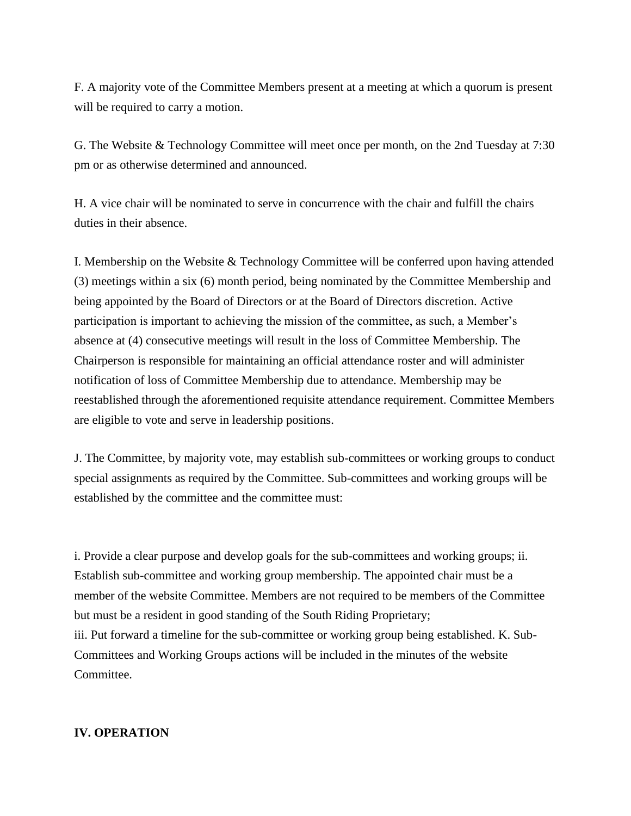F. A majority vote of the Committee Members present at a meeting at which a quorum is present will be required to carry a motion.

G. The Website & Technology Committee will meet once per month, on the 2nd Tuesday at 7:30 pm or as otherwise determined and announced.

H. A vice chair will be nominated to serve in concurrence with the chair and fulfill the chairs duties in their absence.

I. Membership on the Website & Technology Committee will be conferred upon having attended (3) meetings within a six (6) month period, being nominated by the Committee Membership and being appointed by the Board of Directors or at the Board of Directors discretion. Active participation is important to achieving the mission of the committee, as such, a Member's absence at (4) consecutive meetings will result in the loss of Committee Membership. The Chairperson is responsible for maintaining an official attendance roster and will administer notification of loss of Committee Membership due to attendance. Membership may be reestablished through the aforementioned requisite attendance requirement. Committee Members are eligible to vote and serve in leadership positions.

J. The Committee, by majority vote, may establish sub-committees or working groups to conduct special assignments as required by the Committee. Sub-committees and working groups will be established by the committee and the committee must:

i. Provide a clear purpose and develop goals for the sub-committees and working groups; ii. Establish sub-committee and working group membership. The appointed chair must be a member of the website Committee. Members are not required to be members of the Committee but must be a resident in good standing of the South Riding Proprietary; iii. Put forward a timeline for the sub-committee or working group being established. K. Sub-Committees and Working Groups actions will be included in the minutes of the website Committee.

#### **IV. OPERATION**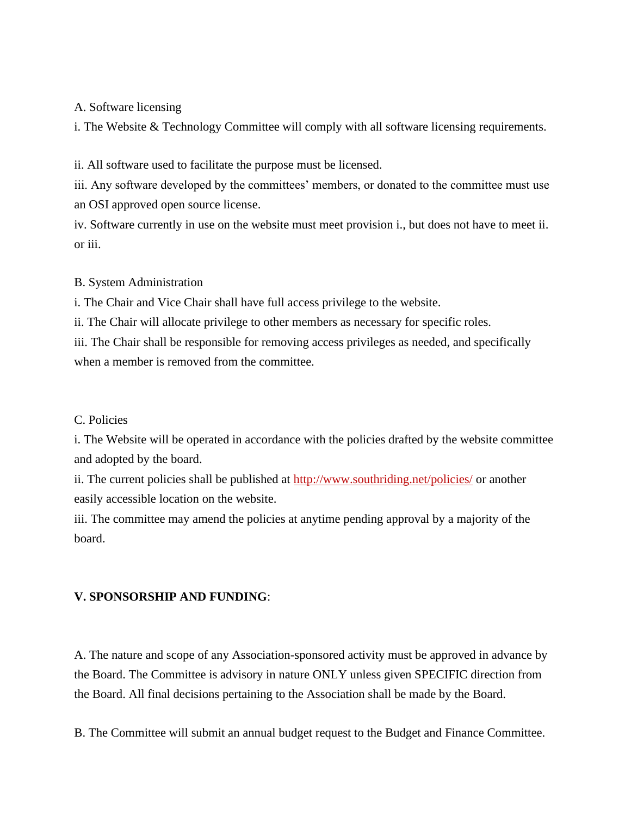#### A. Software licensing

i. The Website & Technology Committee will comply with all software licensing requirements.

ii. All software used to facilitate the purpose must be licensed.

iii. Any software developed by the committees' members, or donated to the committee must use an OSI approved open source license.

iv. Software currently in use on the website must meet provision i., but does not have to meet ii. or iii.

#### B. System Administration

i. The Chair and Vice Chair shall have full access privilege to the website.

ii. The Chair will allocate privilege to other members as necessary for specific roles.

iii. The Chair shall be responsible for removing access privileges as needed, and specifically when a member is removed from the committee.

#### C. Policies

i. The Website will be operated in accordance with the policies drafted by the website committee and adopted by the board.

ii. The current policies shall be published at<http://www.southriding.net/policies/> or another easily accessible location on the website.

iii. The committee may amend the policies at anytime pending approval by a majority of the board.

### **V. SPONSORSHIP AND FUNDING**:

A. The nature and scope of any Association-sponsored activity must be approved in advance by the Board. The Committee is advisory in nature ONLY unless given SPECIFIC direction from the Board. All final decisions pertaining to the Association shall be made by the Board.

B. The Committee will submit an annual budget request to the Budget and Finance Committee.